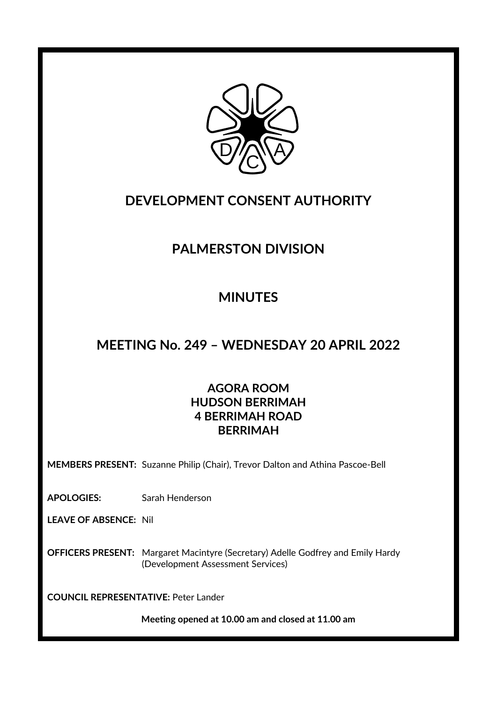

### **DEVELOPMENT CONSENT AUTHORITY**

## **PALMERSTON DIVISION**

# **MINUTES**

### **MEETING No. 249 – WEDNESDAY 20 APRIL 2022**

### **AGORA ROOM HUDSON BERRIMAH 4 BERRIMAH ROAD BERRIMAH**

**MEMBERS PRESENT:** Suzanne Philip (Chair), Trevor Dalton and Athina Pascoe-Bell

**APOLOGIES:** Sarah Henderson

**LEAVE OF ABSENCE:** Nil

**OFFICERS PRESENT:** Margaret Macintyre (Secretary) Adelle Godfrey and Emily Hardy (Development Assessment Services)

**COUNCIL REPRESENTATIVE:** Peter Lander

**Meeting opened at 10.00 am and closed at 11.00 am**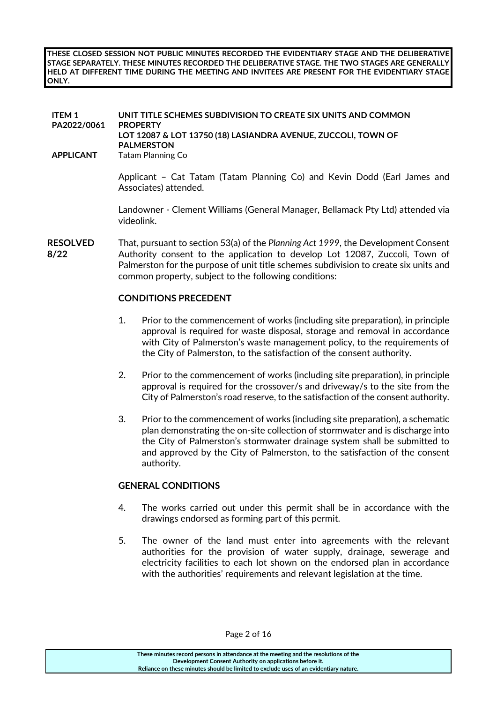**THESE CLOSED SESSION NOT PUBLIC MINUTES RECORDED THE EVIDENTIARY STAGE AND THE DELIBERATIVE STAGE SEPARATELY. THESE MINUTES RECORDED THE DELIBERATIVE STAGE. THE TWO STAGES ARE GENERALLY HELD AT DIFFERENT TIME DURING THE MEETING AND INVITEES ARE PRESENT FOR THE EVIDENTIARY STAGE ONLY.**

| <b>ITEM1</b><br>PA2022/0061<br><b>APPLICANT</b> | UNIT TITLE SCHEMES SUBDIVISION TO CREATE SIX UNITS AND COMMON<br><b>PROPERTY</b><br>LOT 12087 & LOT 13750 (18) LASIANDRA AVENUE, ZUCCOLI, TOWN OF<br><b>PALMERSTON</b><br><b>Tatam Planning Co</b>                                                                                                                      |
|-------------------------------------------------|-------------------------------------------------------------------------------------------------------------------------------------------------------------------------------------------------------------------------------------------------------------------------------------------------------------------------|
|                                                 | Applicant - Cat Tatam (Tatam Planning Co) and Kevin Dodd (Earl James and<br>Associates) attended.                                                                                                                                                                                                                       |
|                                                 | Landowner - Clement Williams (General Manager, Bellamack Pty Ltd) attended via<br>videolink.                                                                                                                                                                                                                            |
| <b>RESOLVED</b><br>8/22                         | That, pursuant to section 53(a) of the Planning Act 1999, the Development Consent<br>Authority consent to the application to develop Lot 12087, Zuccoli, Town of<br>Palmerston for the purpose of unit title schemes subdivision to create six units and<br>common property, subject to the following conditions:       |
|                                                 | <b>CONDITIONS PRECEDENT</b>                                                                                                                                                                                                                                                                                             |
|                                                 | 1.<br>Prior to the commencement of works (including site preparation), in principle<br>approval is required for waste disposal, storage and removal in accordance<br>with City of Palmerston's waste management policy, to the requirements of<br>the City of Palmerston, to the satisfaction of the consent authority. |
|                                                 | 2.<br>Prior to the commencement of works (including site preparation), in principle<br>approval is required for the crossover/s and driveway/s to the site from the                                                                                                                                                     |

3. Prior to the commencement of works (including site preparation), a schematic plan demonstrating the on-site collection of stormwater and is discharge into the City of Palmerston's stormwater drainage system shall be submitted to and approved by the City of Palmerston, to the satisfaction of the consent authority.

City of Palmerston's road reserve, to the satisfaction of the consent authority.

#### **GENERAL CONDITIONS**

- 4. The works carried out under this permit shall be in accordance with the drawings endorsed as forming part of this permit.
- 5. The owner of the land must enter into agreements with the relevant authorities for the provision of water supply, drainage, sewerage and electricity facilities to each lot shown on the endorsed plan in accordance with the authorities' requirements and relevant legislation at the time.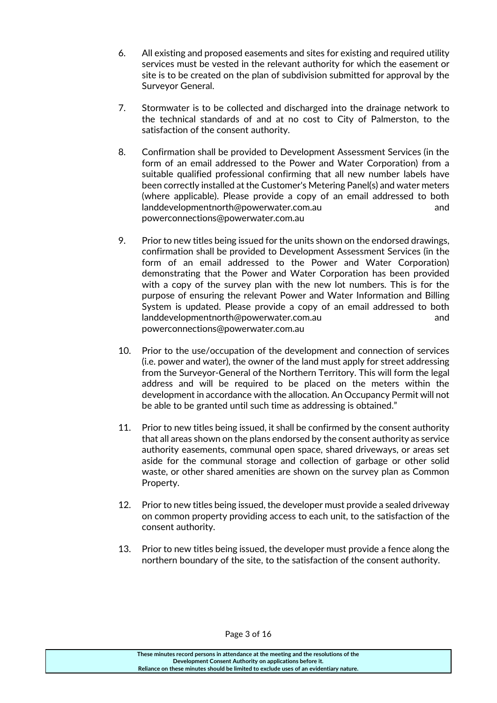- 6. All existing and proposed easements and sites for existing and required utility services must be vested in the relevant authority for which the easement or site is to be created on the plan of subdivision submitted for approval by the Surveyor General.
- 7. Stormwater is to be collected and discharged into the drainage network to the technical standards of and at no cost to City of Palmerston, to the satisfaction of the consent authority.
- 8. Confirmation shall be provided to Development Assessment Services (in the form of an email addressed to the Power and Water Corporation) from a suitable qualified professional confirming that all new number labels have been correctly installed at the Customer's Metering Panel(s) and water meters (where applicable). Please provide a copy of an email addressed to both [landdevelopmentnorth@powerwater.com.au](mailto:landdevelopmentnorth@powerwater.com.au) and [powerconnections@powerwater.com.au](mailto:powerconnections@powerwater.com.au)
- 9. Prior to new titles being issued for the units shown on the endorsed drawings, confirmation shall be provided to Development Assessment Services (in the form of an email addressed to the Power and Water Corporation) demonstrating that the Power and Water Corporation has been provided with a copy of the survey plan with the new lot numbers. This is for the purpose of ensuring the relevant Power and Water Information and Billing System is updated. Please provide a copy of an email addressed to both [landdevelopmentnorth@powerwater.com.au](mailto:landdevelopmentnorth@powerwater.com.au) and [powerconnections@powerwater.com.au](mailto:powerconnections@powerwater.com.au)
- 10. Prior to the use/occupation of the development and connection of services (i.e. power and water), the owner of the land must apply for street addressing from the Surveyor-General of the Northern Territory. This will form the legal address and will be required to be placed on the meters within the development in accordance with the allocation. An Occupancy Permit will not be able to be granted until such time as addressing is obtained."
- 11. Prior to new titles being issued, it shall be confirmed by the consent authority that all areas shown on the plans endorsed by the consent authority as service authority easements, communal open space, shared driveways, or areas set aside for the communal storage and collection of garbage or other solid waste, or other shared amenities are shown on the survey plan as Common Property.
- 12. Prior to new titles being issued, the developer must provide a sealed driveway on common property providing access to each unit, to the satisfaction of the consent authority.
- 13. Prior to new titles being issued, the developer must provide a fence along the northern boundary of the site, to the satisfaction of the consent authority.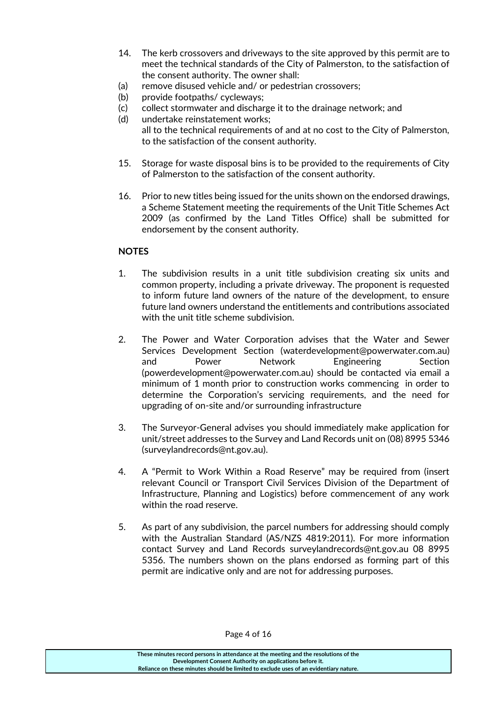- 14. The kerb crossovers and driveways to the site approved by this permit are to meet the technical standards of the City of Palmerston, to the satisfaction of the consent authority. The owner shall:
- (a) remove disused vehicle and/ or pedestrian crossovers;
- (b) provide footpaths/ cycleways:
- (c) collect stormwater and discharge it to the drainage network; and
- (d) undertake reinstatement works; all to the technical requirements of and at no cost to the City of Palmerston, to the satisfaction of the consent authority.
- 15. Storage for waste disposal bins is to be provided to the requirements of City of Palmerston to the satisfaction of the consent authority.
- 16. Prior to new titles being issued for the units shown on the endorsed drawings, a Scheme Statement meeting the requirements of the Unit Title Schemes Act 2009 (as confirmed by the Land Titles Office) shall be submitted for endorsement by the consent authority.

#### **NOTES**

- 1. The subdivision results in a unit title subdivision creating six units and common property, including a private driveway. The proponent is requested to inform future land owners of the nature of the development, to ensure future land owners understand the entitlements and contributions associated with the unit title scheme subdivision.
- 2. The Power and Water Corporation advises that the Water and Sewer Services Development Section [\(waterdevelopment@powerwater.com.au\)](mailto:waterdevelopment@powerwater.com.au) and Power Network Engineering Section [\(powerdevelopment@powerwater.com.au\)](mailto:powerdevelopment@powerwater.com.au) should be contacted via email a minimum of 1 month prior to construction works commencing in order to determine the Corporation's servicing requirements, and the need for upgrading of on-site and/or surrounding infrastructure
- 3. The Surveyor-General advises you should immediately make application for unit/street addresses to the Survey and Land Records unit on (08) 8995 5346 [\(surveylandrecords@nt.gov.au\)](mailto:surveylandrecords@nt.gov.au).
- 4. A "Permit to Work Within a Road Reserve" may be required from (insert relevant Council or Transport Civil Services Division of the Department of Infrastructure, Planning and Logistics) before commencement of any work within the road reserve.
- 5. As part of any subdivision, the parcel numbers for addressing should comply with the Australian Standard (AS/NZS 4819:2011). For more information contact Survey and Land Records surveylandrecords@nt.gov.au 08 8995 5356. The numbers shown on the plans endorsed as forming part of this permit are indicative only and are not for addressing purposes.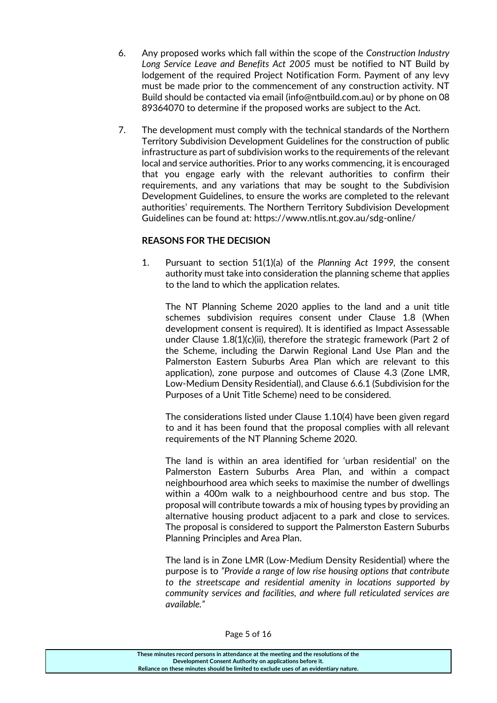- 6. Any proposed works which fall within the scope of the *Construction Industry Long Service Leave and Benefits Act 2005* must be notified to NT Build by lodgement of the required Project Notification Form. Payment of any levy must be made prior to the commencement of any construction activity. NT Build should be contacted via email [\(info@ntbuild.com.au\)](mailto:info@ntbuild.com.au) or by phone on 08 89364070 to determine if the proposed works are subject to the Act.
- 7. The development must comply with the technical standards of the Northern Territory Subdivision Development Guidelines for the construction of public infrastructure as part of subdivision works to the requirements of the relevant local and service authorities. Prior to any works commencing, it is encouraged that you engage early with the relevant authorities to confirm their requirements, and any variations that may be sought to the Subdivision Development Guidelines, to ensure the works are completed to the relevant authorities' requirements. The Northern Territory Subdivision Development Guidelines can be found at:<https://www.ntlis.nt.gov.au/sdg-online/>

#### **REASONS FOR THE DECISION**

1. Pursuant to section 51(1)(a) of the *Planning Act 1999,* the consent authority must take into consideration the planning scheme that applies to the land to which the application relates.

The NT Planning Scheme 2020 applies to the land and a unit title schemes subdivision requires consent under Clause 1.8 (When development consent is required). It is identified as Impact Assessable under Clause 1.8(1)(c)(ii), therefore the strategic framework (Part 2 of the Scheme, including the Darwin Regional Land Use Plan and the Palmerston Eastern Suburbs Area Plan which are relevant to this application), zone purpose and outcomes of Clause 4.3 (Zone LMR, Low-Medium Density Residential), and Clause 6.6.1 (Subdivision for the Purposes of a Unit Title Scheme) need to be considered.

The considerations listed under Clause 1.10(4) have been given regard to and it has been found that the proposal complies with all relevant requirements of the NT Planning Scheme 2020.

The land is within an area identified for 'urban residential' on the Palmerston Eastern Suburbs Area Plan, and within a compact neighbourhood area which seeks to maximise the number of dwellings within a 400m walk to a neighbourhood centre and bus stop. The proposal will contribute towards a mix of housing types by providing an alternative housing product adjacent to a park and close to services. The proposal is considered to support the Palmerston Eastern Suburbs Planning Principles and Area Plan.

The land is in Zone LMR (Low-Medium Density Residential) where the purpose is to *"Provide a range of low rise housing options that contribute to the streetscape and residential amenity in locations supported by community services and facilities, and where full reticulated services are available."*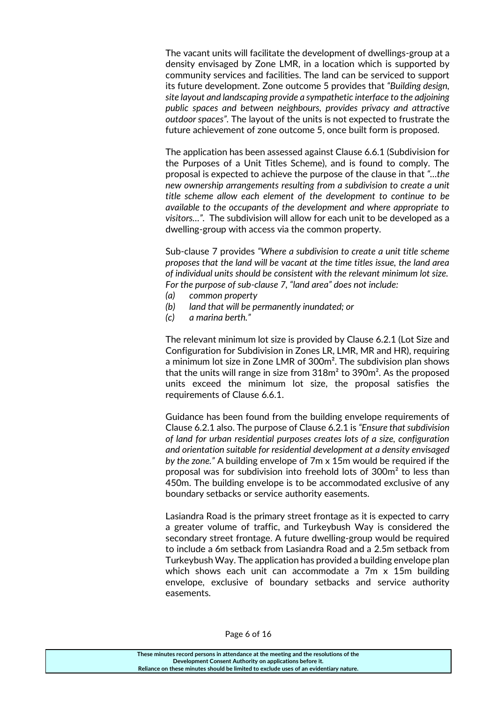The vacant units will facilitate the development of dwellings-group at a density envisaged by Zone LMR, in a location which is supported by community services and facilities. The land can be serviced to support its future development. Zone outcome 5 provides that *"Building design, site layout and landscaping provide a sympathetic interface to the adjoining public spaces and between neighbours, provides privacy and attractive outdoor spaces".* The layout of the units is not expected to frustrate the future achievement of zone outcome 5, once built form is proposed.

The application has been assessed against Clause 6.6.1 (Subdivision for the Purposes of a Unit Titles Scheme), and is found to comply. The proposal is expected to achieve the purpose of the clause in that *"…the new ownership arrangements resulting from a subdivision to create a unit title scheme allow each element of the development to continue to be available to the occupants of the development and where appropriate to visitors…".* The subdivision will allow for each unit to be developed as a dwelling-group with access via the common property.

Sub-clause 7 provides *"Where a subdivision to create a unit title scheme proposes that the land will be vacant at the time titles issue, the land area of individual units should be consistent with the relevant minimum lot size. For the purpose of sub-clause 7, "land area" does not include:*

- *(a) common property*
- *(b) land that will be permanently inundated; or*
- *(c) a marina berth."*

The relevant minimum lot size is provided by Clause 6.2.1 (Lot Size and Configuration for Subdivision in Zones LR, LMR, MR and HR), requiring a minimum lot size in Zone LMR of 300m². The subdivision plan shows that the units will range in size from  $318m<sup>2</sup>$  to  $390m<sup>2</sup>$ . As the proposed units exceed the minimum lot size, the proposal satisfies the requirements of Clause 6.6.1.

Guidance has been found from the building envelope requirements of Clause 6.2.1 also. The purpose of Clause 6.2.1 is *"Ensure that subdivision of land for urban residential purposes creates lots of a size, configuration and orientation suitable for residential development at a density envisaged by the zone."* A building envelope of 7m x 15m would be required if the proposal was for subdivision into freehold lots of 300m² to less than 450m. The building envelope is to be accommodated exclusive of any boundary setbacks or service authority easements.

Lasiandra Road is the primary street frontage as it is expected to carry a greater volume of traffic, and Turkeybush Way is considered the secondary street frontage. A future dwelling-group would be required to include a 6m setback from Lasiandra Road and a 2.5m setback from Turkeybush Way. The application has provided a building envelope plan which shows each unit can accommodate a 7m x 15m building envelope, exclusive of boundary setbacks and service authority easements.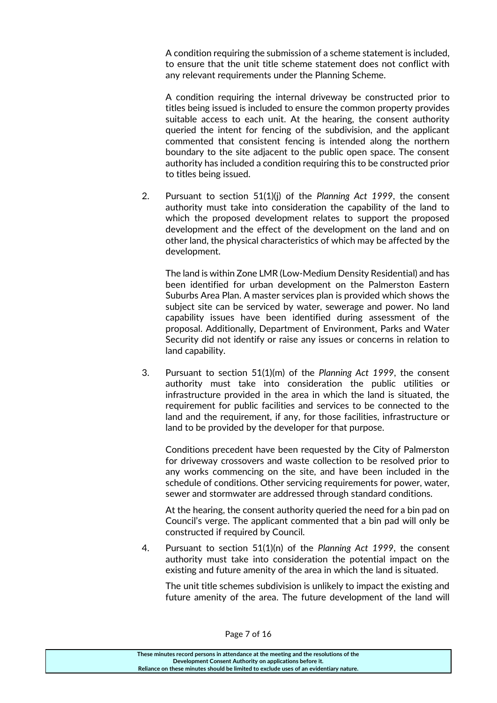A condition requiring the submission of a scheme statement is included, to ensure that the unit title scheme statement does not conflict with any relevant requirements under the Planning Scheme.

A condition requiring the internal driveway be constructed prior to titles being issued is included to ensure the common property provides suitable access to each unit. At the hearing, the consent authority queried the intent for fencing of the subdivision, and the applicant commented that consistent fencing is intended along the northern boundary to the site adjacent to the public open space. The consent authority has included a condition requiring this to be constructed prior to titles being issued.

2. Pursuant to section 51(1)(j) of the *Planning Act 1999*, the consent authority must take into consideration the capability of the land to which the proposed development relates to support the proposed development and the effect of the development on the land and on other land, the physical characteristics of which may be affected by the development.

The land is within Zone LMR (Low-Medium Density Residential) and has been identified for urban development on the Palmerston Eastern Suburbs Area Plan. A master services plan is provided which shows the subject site can be serviced by water, sewerage and power. No land capability issues have been identified during assessment of the proposal. Additionally, Department of Environment, Parks and Water Security did not identify or raise any issues or concerns in relation to land capability.

3. Pursuant to section 51(1)(m) of the *Planning Act 1999*, the consent authority must take into consideration the public utilities or infrastructure provided in the area in which the land is situated, the requirement for public facilities and services to be connected to the land and the requirement, if any, for those facilities, infrastructure or land to be provided by the developer for that purpose.

Conditions precedent have been requested by the City of Palmerston for driveway crossovers and waste collection to be resolved prior to any works commencing on the site, and have been included in the schedule of conditions. Other servicing requirements for power, water, sewer and stormwater are addressed through standard conditions.

At the hearing, the consent authority queried the need for a bin pad on Council's verge. The applicant commented that a bin pad will only be constructed if required by Council.

4. Pursuant to section 51(1)(n) of the *Planning Act 1999*, the consent authority must take into consideration the potential impact on the existing and future amenity of the area in which the land is situated.

The unit title schemes subdivision is unlikely to impact the existing and future amenity of the area. The future development of the land will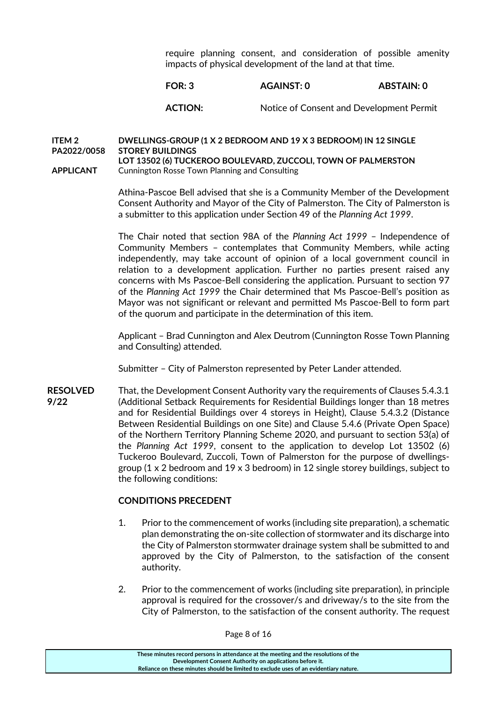require planning consent, and consideration of possible amenity impacts of physical development of the land at that time.

#### **FOR: 3 AGAINST: 0 ABSTAIN: 0**

#### ACTION: Notice of Consent and Development Permit

#### **ITEM 2 PA2022/0058 DWELLINGS-GROUP (1 X 2 BEDROOM AND 19 X 3 BEDROOM) IN 12 SINGLE STOREY BUILDINGS**

**APPLICANT LOT 13502 (6) TUCKEROO BOULEVARD, ZUCCOLI, TOWN OF PALMERSTON**  Cunnington Rosse Town Planning and Consulting

> Athina-Pascoe Bell advised that she is a Community Member of the Development Consent Authority and Mayor of the City of Palmerston. The City of Palmerston is a submitter to this application under Section 49 of the *Planning Act 1999*.

> The Chair noted that section 98A of the *Planning Act 1999* – Independence of Community Members – contemplates that Community Members, while acting independently, may take account of opinion of a local government council in relation to a development application. Further no parties present raised any concerns with Ms Pascoe-Bell considering the application. Pursuant to section 97 of the *Planning Act 1999* the Chair determined that Ms Pascoe-Bell's position as Mayor was not significant or relevant and permitted Ms Pascoe-Bell to form part of the quorum and participate in the determination of this item.

> Applicant – Brad Cunnington and Alex Deutrom (Cunnington Rosse Town Planning and Consulting) attended.

Submitter – City of Palmerston represented by Peter Lander attended.

**RESOLVED 9/22** That, the Development Consent Authority vary the requirements of Clauses 5.4.3.1 (Additional Setback Requirements for Residential Buildings longer than 18 metres and for Residential Buildings over 4 storeys in Height), Clause 5.4.3.2 (Distance Between Residential Buildings on one Site) and Clause 5.4.6 (Private Open Space) of the Northern Territory Planning Scheme 2020, and pursuant to section 53(a) of the *Planning Act 1999*, consent to the application to develop Lot 13502 (6) Tuckeroo Boulevard, Zuccoli, Town of Palmerston for the purpose of dwellingsgroup  $(1 \times 2)$  bedroom and  $19 \times 3$  bedroom) in 12 single storey buildings, subject to the following conditions:

#### **CONDITIONS PRECEDENT**

- 1. Prior to the commencement of works (including site preparation), a schematic plan demonstrating the on-site collection of stormwater and its discharge into the City of Palmerston stormwater drainage system shall be submitted to and approved by the City of Palmerston, to the satisfaction of the consent authority.
- 2. Prior to the commencement of works (including site preparation), in principle approval is required for the crossover/s and driveway/s to the site from the City of Palmerston, to the satisfaction of the consent authority. The request

Page 8 of 16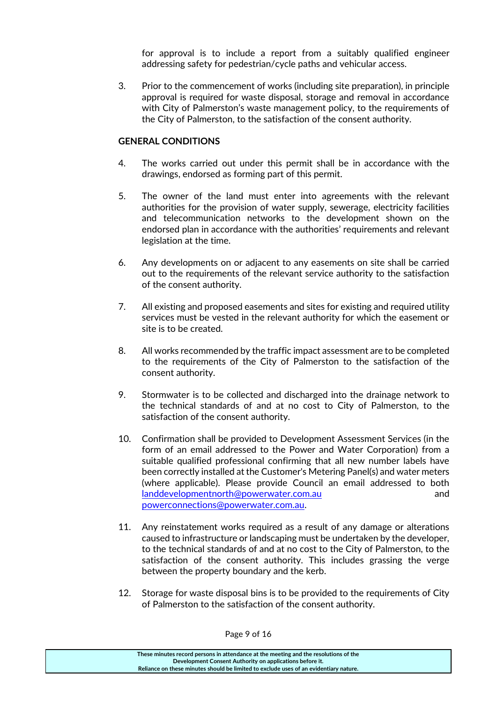for approval is to include a report from a suitably qualified engineer addressing safety for pedestrian/cycle paths and vehicular access.

3. Prior to the commencement of works (including site preparation), in principle approval is required for waste disposal, storage and removal in accordance with City of Palmerston's waste management policy, to the requirements of the City of Palmerston, to the satisfaction of the consent authority.

#### **GENERAL CONDITIONS**

- 4. The works carried out under this permit shall be in accordance with the drawings, endorsed as forming part of this permit.
- 5. The owner of the land must enter into agreements with the relevant authorities for the provision of water supply, sewerage, electricity facilities and telecommunication networks to the development shown on the endorsed plan in accordance with the authorities' requirements and relevant legislation at the time.
- 6. Any developments on or adjacent to any easements on site shall be carried out to the requirements of the relevant service authority to the satisfaction of the consent authority.
- 7. All existing and proposed easements and sites for existing and required utility services must be vested in the relevant authority for which the easement or site is to be created.
- 8. All works recommended by the traffic impact assessment are to be completed to the requirements of the City of Palmerston to the satisfaction of the consent authority.
- 9. Stormwater is to be collected and discharged into the drainage network to the technical standards of and at no cost to City of Palmerston, to the satisfaction of the consent authority.
- 10. Confirmation shall be provided to Development Assessment Services (in the form of an email addressed to the Power and Water Corporation) from a suitable qualified professional confirming that all new number labels have been correctly installed at the Customer's Metering Panel(s) and water meters (where applicable). Please provide Council an email addressed to both [landdevelopmentnorth@powerwater.com.au](mailto:landdevelopmentnorth@powerwater.com.au) and [powerconnections@powerwater.com.au.](mailto:powerconnections@powerwater.com.au)
- 11. Any reinstatement works required as a result of any damage or alterations caused to infrastructure or landscaping must be undertaken by the developer, to the technical standards of and at no cost to the City of Palmerston, to the satisfaction of the consent authority. This includes grassing the verge between the property boundary and the kerb.
- 12. Storage for waste disposal bins is to be provided to the requirements of City of Palmerston to the satisfaction of the consent authority.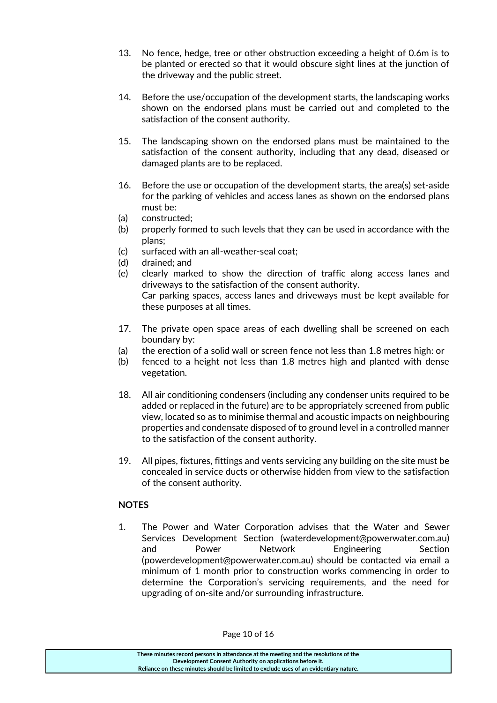- 13. No fence, hedge, tree or other obstruction exceeding a height of 0.6m is to be planted or erected so that it would obscure sight lines at the junction of the driveway and the public street.
- 14. Before the use/occupation of the development starts, the landscaping works shown on the endorsed plans must be carried out and completed to the satisfaction of the consent authority.
- 15. The landscaping shown on the endorsed plans must be maintained to the satisfaction of the consent authority, including that any dead, diseased or damaged plants are to be replaced.
- 16. Before the use or occupation of the development starts, the area(s) set‐aside for the parking of vehicles and access lanes as shown on the endorsed plans must be:
- (a) constructed;
- (b) properly formed to such levels that they can be used in accordance with the plans;
- (c) surfaced with an all‐weather‐seal coat;
- (d) drained; and
- (e) clearly marked to show the direction of traffic along access lanes and driveways to the satisfaction of the consent authority. Car parking spaces, access lanes and driveways must be kept available for these purposes at all times.
- 17. The private open space areas of each dwelling shall be screened on each boundary by:
- (a) the erection of a solid wall or screen fence not less than 1.8 metres high: or
- (b) fenced to a height not less than 1.8 metres high and planted with dense vegetation.
- 18. All air conditioning condensers (including any condenser units required to be added or replaced in the future) are to be appropriately screened from public view, located so as to minimise thermal and acoustic impacts on neighbouring properties and condensate disposed of to ground level in a controlled manner to the satisfaction of the consent authority.
- 19. All pipes, fixtures, fittings and vents servicing any building on the site must be concealed in service ducts or otherwise hidden from view to the satisfaction of the consent authority.

#### **NOTES**

1. The Power and Water Corporation advises that the Water and Sewer Services Development Section (waterdevelopment@powerwater.com.au) and Power Network Engineering Section (powerdevelopment@powerwater.com.au) should be contacted via email a minimum of 1 month prior to construction works commencing in order to determine the Corporation's servicing requirements, and the need for upgrading of on‐site and/or surrounding infrastructure.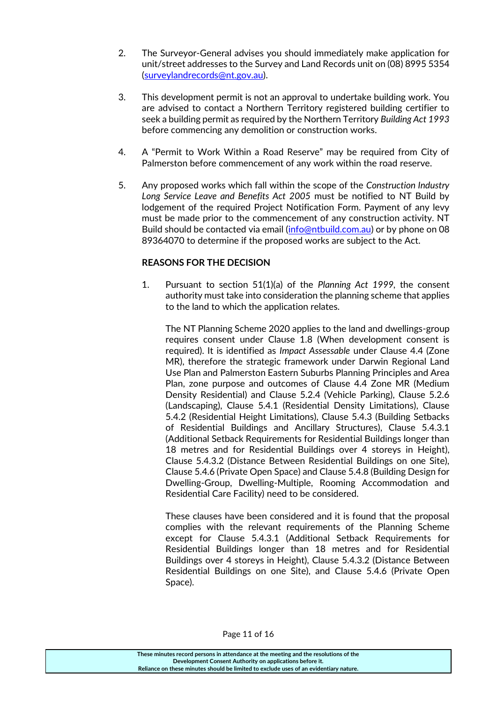- 2. The Surveyor‐General advises you should immediately make application for unit/street addresses to the Survey and Land Records unit on (08) 8995 5354 [\(surveylandrecords@nt.gov.au\)](mailto:surveylandrecords@nt.gov.au).
- 3. This development permit is not an approval to undertake building work. You are advised to contact a Northern Territory registered building certifier to seek a building permit as required by the Northern Territory *Building Act 1993* before commencing any demolition or construction works.
- 4. A "Permit to Work Within a Road Reserve" may be required from City of Palmerston before commencement of any work within the road reserve.
- 5. Any proposed works which fall within the scope of the *Construction Industry Long Service Leave and Benefits Act 2005* must be notified to NT Build by lodgement of the required Project Notification Form. Payment of any levy must be made prior to the commencement of any construction activity. NT Build should be contacted via email [\(info@ntbuild.com.au\)](mailto:info@ntbuild.com.au) or by phone on 08 89364070 to determine if the proposed works are subject to the Act.

### **REASONS FOR THE DECISION**

1. Pursuant to section 51(1)(a) of the *Planning Act 1999,* the consent authority must take into consideration the planning scheme that applies to the land to which the application relates.

The NT Planning Scheme 2020 applies to the land and dwellings-group requires consent under Clause 1.8 (When development consent is required). It is identified as *Impact Assessable* under Clause 4.4 (Zone MR), therefore the strategic framework under Darwin Regional Land Use Plan and Palmerston Eastern Suburbs Planning Principles and Area Plan, zone purpose and outcomes of Clause 4.4 Zone MR (Medium Density Residential) and Clause 5.2.4 (Vehicle Parking), Clause 5.2.6 (Landscaping), Clause 5.4.1 (Residential Density Limitations), Clause 5.4.2 (Residential Height Limitations), Clause 5.4.3 (Building Setbacks of Residential Buildings and Ancillary Structures), Clause 5.4.3.1 (Additional Setback Requirements for Residential Buildings longer than 18 metres and for Residential Buildings over 4 storeys in Height), Clause 5.4.3.2 (Distance Between Residential Buildings on one Site), Clause 5.4.6 (Private Open Space) and Clause 5.4.8 (Building Design for Dwelling‐Group, Dwelling‐Multiple, Rooming Accommodation and Residential Care Facility) need to be considered.

These clauses have been considered and it is found that the proposal complies with the relevant requirements of the Planning Scheme except for Clause 5.4.3.1 (Additional Setback Requirements for Residential Buildings longer than 18 metres and for Residential Buildings over 4 storeys in Height), Clause 5.4.3.2 (Distance Between Residential Buildings on one Site), and Clause 5.4.6 (Private Open Space).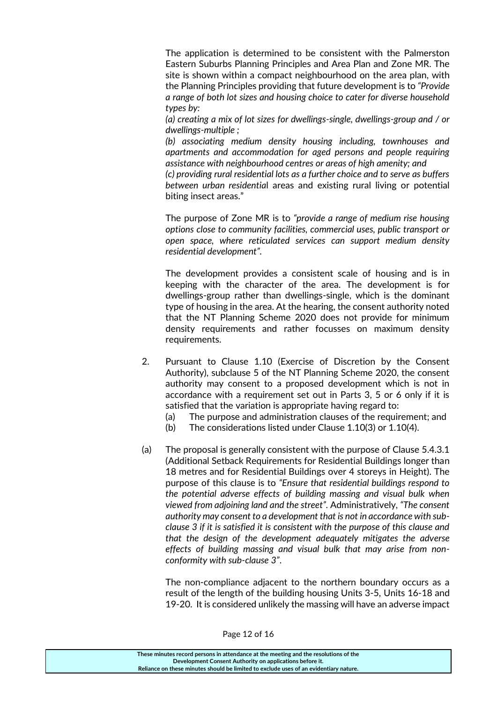The application is determined to be consistent with the Palmerston Eastern Suburbs Planning Principles and Area Plan and Zone MR. The site is shown within a compact neighbourhood on the area plan, with the Planning Principles providing that future development is to *"Provide a range of both lot sizes and housing choice to cater for diverse household types by:*

*(a) creating a mix of lot sizes for dwellings-single, dwellings-group and / or dwellings-multiple ;*

*(b) associating medium density housing including, townhouses and apartments and accommodation for aged persons and people requiring assistance with neighbourhood centres or areas of high amenity; and*

*(c) providing rural residential lots as a further choice and to serve as buffers between urban residentia*l areas and existing rural living or potential biting insect areas."

The purpose of Zone MR is to *"provide a range of medium rise housing options close to community facilities, commercial uses, public transport or open space, where reticulated services can support medium density residential development".*

The development provides a consistent scale of housing and is in keeping with the character of the area. The development is for dwellings-group rather than dwellings-single, which is the dominant type of housing in the area. At the hearing, the consent authority noted that the NT Planning Scheme 2020 does not provide for minimum density requirements and rather focusses on maximum density requirements.

- 2. Pursuant to Clause 1.10 (Exercise of Discretion by the Consent Authority), subclause 5 of the NT Planning Scheme 2020, the consent authority may consent to a proposed development which is not in accordance with a requirement set out in Parts 3, 5 or 6 only if it is satisfied that the variation is appropriate having regard to:
	- (a) The purpose and administration clauses of the requirement; and
	- (b) The considerations listed under Clause 1.10(3) or 1.10(4).
- (a) The proposal is generally consistent with the purpose of Clause 5.4.3.1 (Additional Setback Requirements for Residential Buildings longer than 18 metres and for Residential Buildings over 4 storeys in Height). The purpose of this clause is to *"Ensure that residential buildings respond to the potential adverse effects of building massing and visual bulk when viewed from adjoining land and the street".* Administratively, *"The consent authority may consent to a development that is not in accordance with subclause 3 if it is satisfied it is consistent with the purpose of this clause and that the design of the development adequately mitigates the adverse effects of building massing and visual bulk that may arise from nonconformity with sub-clause 3"*.

The non-compliance adjacent to the northern boundary occurs as a result of the length of the building housing Units 3-5, Units 16-18 and 19-20. It is considered unlikely the massing will have an adverse impact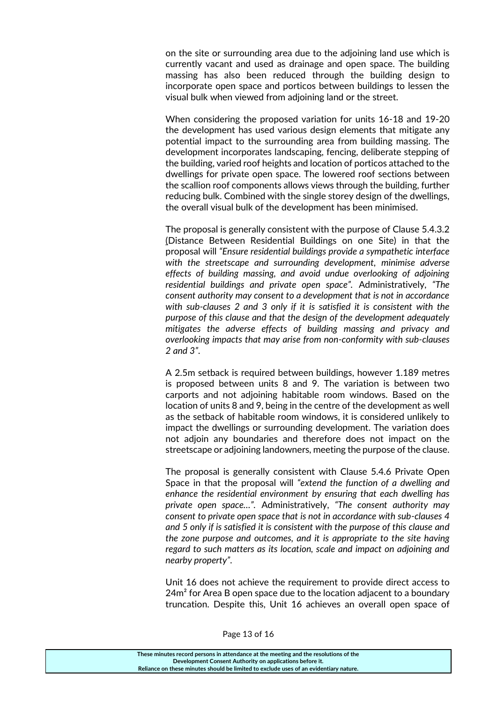on the site or surrounding area due to the adjoining land use which is currently vacant and used as drainage and open space. The building massing has also been reduced through the building design to incorporate open space and porticos between buildings to lessen the visual bulk when viewed from adjoining land or the street.

When considering the proposed variation for units 16-18 and 19-20 the development has used various design elements that mitigate any potential impact to the surrounding area from building massing. The development incorporates landscaping, fencing, deliberate stepping of the building, varied roof heights and location of porticos attached to the dwellings for private open space. The lowered roof sections between the scallion roof components allows views through the building, further reducing bulk. Combined with the single storey design of the dwellings, the overall visual bulk of the development has been minimised.

The proposal is generally consistent with the purpose of Clause 5.4.3.2 (Distance Between Residential Buildings on one Site) in that the proposal will *"Ensure residential buildings provide a sympathetic interface with the streetscape and surrounding development, minimise adverse effects of building massing, and avoid undue overlooking of adjoining residential buildings and private open space".* Administratively, *"The consent authority may consent to a development that is not in accordance with sub-clauses 2 and 3 only if it is satisfied it is consistent with the purpose of this clause and that the design of the development adequately mitigates the adverse effects of building massing and privacy and overlooking impacts that may arise from non-conformity with sub-clauses 2 and 3"*.

A 2.5m setback is required between buildings, however 1.189 metres is proposed between units 8 and 9. The variation is between two carports and not adjoining habitable room windows. Based on the location of units 8 and 9, being in the centre of the development as well as the setback of habitable room windows, it is considered unlikely to impact the dwellings or surrounding development. The variation does not adjoin any boundaries and therefore does not impact on the streetscape or adjoining landowners, meeting the purpose of the clause.

The proposal is generally consistent with Clause 5.4.6 Private Open Space in that the proposal will *"extend the function of a dwelling and enhance the residential environment by ensuring that each dwelling has private open space…".* Administratively, *"The consent authority may consent to private open space that is not in accordance with sub-clauses 4 and 5 only if is satisfied it is consistent with the purpose of this clause and the zone purpose and outcomes, and it is appropriate to the site having regard to such matters as its location, scale and impact on adjoining and nearby property"*.

Unit 16 does not achieve the requirement to provide direct access to  $24m<sup>2</sup>$  for Area B open space due to the location adjacent to a boundary truncation. Despite this, Unit 16 achieves an overall open space of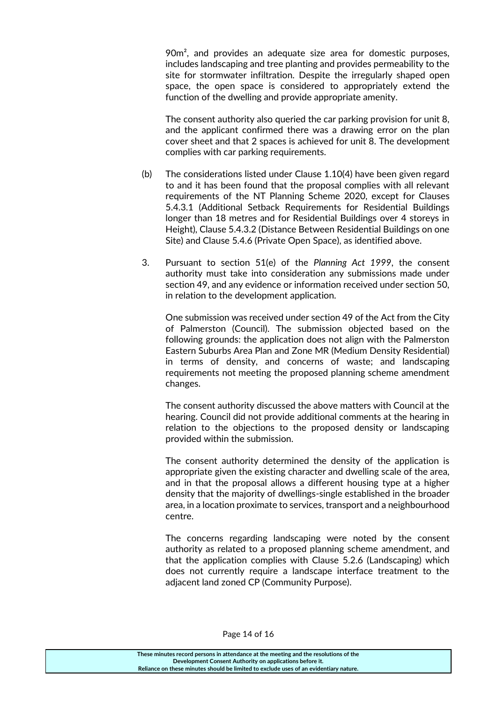90m<sup>2</sup>, and provides an adequate size area for domestic purposes, includes landscaping and tree planting and provides permeability to the site for stormwater infiltration. Despite the irregularly shaped open space, the open space is considered to appropriately extend the function of the dwelling and provide appropriate amenity.

The consent authority also queried the car parking provision for unit 8, and the applicant confirmed there was a drawing error on the plan cover sheet and that 2 spaces is achieved for unit 8. The development complies with car parking requirements.

- (b) The considerations listed under Clause 1.10(4) have been given regard to and it has been found that the proposal complies with all relevant requirements of the NT Planning Scheme 2020, except for Clauses 5.4.3.1 (Additional Setback Requirements for Residential Buildings longer than 18 metres and for Residential Buildings over 4 storeys in Height), Clause 5.4.3.2 (Distance Between Residential Buildings on one Site) and Clause 5.4.6 (Private Open Space), as identified above.
- 3. Pursuant to section 51(e) of the *Planning Act 1999*, the consent authority must take into consideration any submissions made under section 49, and any evidence or information received under section 50, in relation to the development application.

One submission was received under section 49 of the Act from the City of Palmerston (Council). The submission objected based on the following grounds: the application does not align with the Palmerston Eastern Suburbs Area Plan and Zone MR (Medium Density Residential) in terms of density, and concerns of waste; and landscaping requirements not meeting the proposed planning scheme amendment changes.

The consent authority discussed the above matters with Council at the hearing. Council did not provide additional comments at the hearing in relation to the objections to the proposed density or landscaping provided within the submission.

The consent authority determined the density of the application is appropriate given the existing character and dwelling scale of the area, and in that the proposal allows a different housing type at a higher density that the majority of dwellings-single established in the broader area, in a location proximate to services, transport and a neighbourhood centre.

The concerns regarding landscaping were noted by the consent authority as related to a proposed planning scheme amendment, and that the application complies with Clause 5.2.6 (Landscaping) which does not currently require a landscape interface treatment to the adjacent land zoned CP (Community Purpose).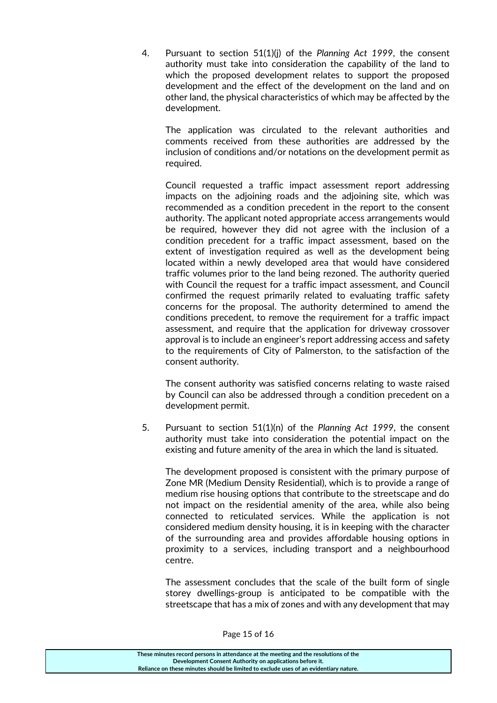4. Pursuant to section 51(1)(j) of the *Planning Act 1999*, the consent authority must take into consideration the capability of the land to which the proposed development relates to support the proposed development and the effect of the development on the land and on other land, the physical characteristics of which may be affected by the development.

The application was circulated to the relevant authorities and comments received from these authorities are addressed by the inclusion of conditions and/or notations on the development permit as required.

Council requested a traffic impact assessment report addressing impacts on the adjoining roads and the adjoining site, which was recommended as a condition precedent in the report to the consent authority. The applicant noted appropriate access arrangements would be required, however they did not agree with the inclusion of a condition precedent for a traffic impact assessment, based on the extent of investigation required as well as the development being located within a newly developed area that would have considered traffic volumes prior to the land being rezoned. The authority queried with Council the request for a traffic impact assessment, and Council confirmed the request primarily related to evaluating traffic safety concerns for the proposal. The authority determined to amend the conditions precedent, to remove the requirement for a traffic impact assessment, and require that the application for driveway crossover approval is to include an engineer's report addressing access and safety to the requirements of City of Palmerston, to the satisfaction of the consent authority.

The consent authority was satisfied concerns relating to waste raised by Council can also be addressed through a condition precedent on a development permit.

5. Pursuant to section 51(1)(n) of the *Planning Act 1999*, the consent authority must take into consideration the potential impact on the existing and future amenity of the area in which the land is situated.

The development proposed is consistent with the primary purpose of Zone MR (Medium Density Residential), which is to provide a range of medium rise housing options that contribute to the streetscape and do not impact on the residential amenity of the area, while also being connected to reticulated services. While the application is not considered medium density housing, it is in keeping with the character of the surrounding area and provides affordable housing options in proximity to a services, including transport and a neighbourhood centre.

The assessment concludes that the scale of the built form of single storey dwellings-group is anticipated to be compatible with the streetscape that has a mix of zones and with any development that may